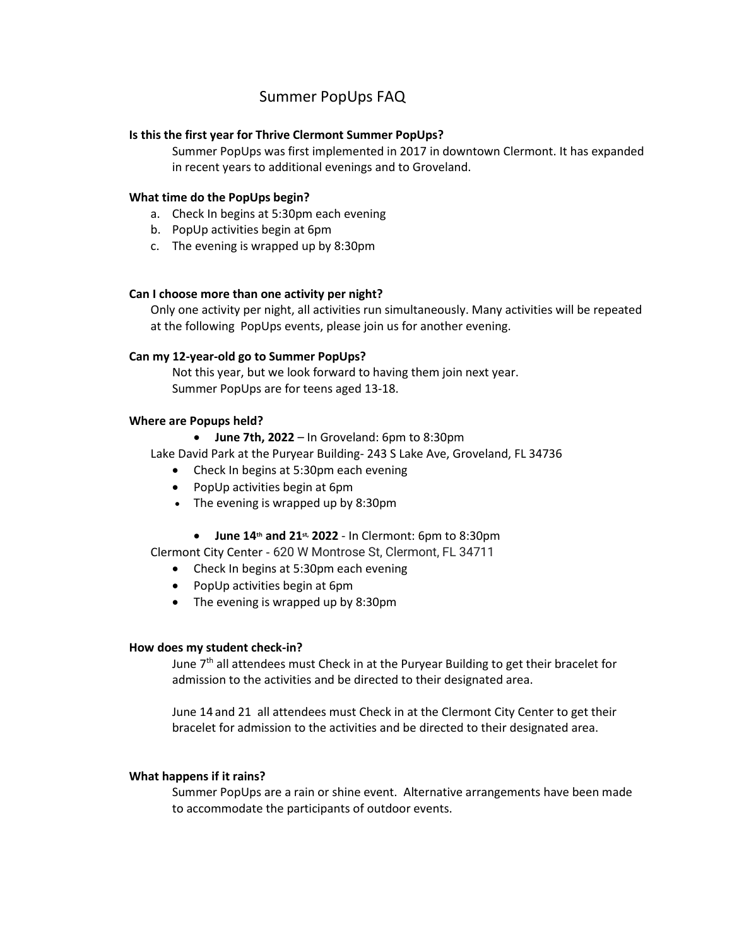# Summer PopUps FAQ

# **Is this the first year for Thrive Clermont Summer PopUps?**

Summer PopUps was first implemented in 2017 in downtown Clermont. It has expanded in recent years to additional evenings and to Groveland.

## **What time do the PopUps begin?**

- a. Check In begins at 5:30pm each evening
- b. PopUp activities begin at 6pm
- c. The evening is wrapped up by 8:30pm

#### **Can I choose more than one activity per night?**

Only one activity per night, all activities run simultaneously. Many activities will be repeated at the following PopUps events, please join us for another evening.

## **Can my 12-year-old go to Summer PopUps?**

Not this year, but we look forward to having them join next year. Summer PopUps are for teens aged 13-18.

#### **Where are Popups held?**

• **June 7th, 2022** – In Groveland: 6pm to 8:30pm

Lake David Park at the Puryear Building- 243 S Lake Ave, Groveland, FL 34736

- Check In begins at 5:30pm each evening
- PopUp activities begin at 6pm
- The evening is wrapped up by 8:30pm
	- **June 14th and 21st, 2022** In Clermont: 6pm to 8:30pm

Clermont City Center - 620 W Montrose St, Clermont, FL 34711

- Check In begins at 5:30pm each evening
- PopUp activities begin at 6pm
- The evening is wrapped up by 8:30pm

## **How does my student check-in?**

June  $7<sup>th</sup>$  all attendees must Check in at the Puryear Building to get their bracelet for admission to the activities and be directed to their designated area.

June 14 and 21 all attendees must Check in at the Clermont City Center to get their bracelet for admission to the activities and be directed to their designated area.

#### **What happens if it rains?**

Summer PopUps are a rain or shine event. Alternative arrangements have been made to accommodate the participants of outdoor events.